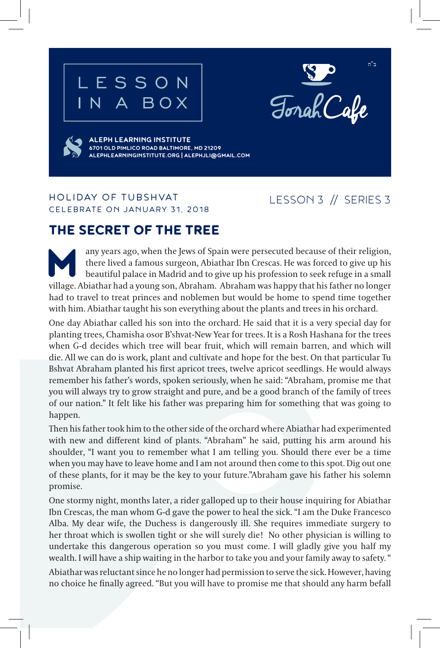





**ALEPH LEARNING INSTITUTE 6701 OLD PIMLICO ROAD BALTIMORE, MD 21209 ALEPHLEARNINGINSTITUTE.ORG | ALEPHJLI@GMAIL.COM**

### HOLIDAY OF TUBSHVAT CELEBRATE ON JANUARY 31, 2018

## LESSON 3 // SERIES 3

# THE SECRET OF THE TREE

any years ago, when the Jews of Spain were persecuted because of their religion, there lived a famous surgeon, Abiathar Ibn Crescas. He was forced to give up his beautiful palace in Madrid and to give up his profession to there lived a famous surgeon, Abiathar Ibn Crescas. He was forced to give up his beautiful palace in Madrid and to give up his profession to seek refuge in a small village. Abiathar had a young son, Abraham. Abraham was happy that his father no longer had to travel to treat princes and noblemen but would be home to spend time together with him. Abiathar taught his son everything about the plants and trees in his orchard.

One day Abiathar called his son into the orchard. He said that it is a very special day for planting trees, Chamisha osor B'shvat-New Year for trees. It is a Rosh Hashana for the trees when G-d decides which tree will bear fruit, which will remain barren, and which will die. All we can do is work, plant and cultivate and hope for the best. On that particular Tu Bshvat Abraham planted his first apricot trees, twelve apricot seedlings. He would always remember his father's words, spoken seriously, when he said: "Abraham, promise me that you will always try to grow straight and pure, and be a good branch of the family of trees of our nation." It felt like his father was preparing him for something that was going to happen.

Then his father took him to the other side of the orchard where Abiathar had experimented with new and different kind of plants. "Abraham" he said, putting his arm around his shoulder, "I want you to remember what I am telling you. Should there ever be a time when you may have to leave home and I am not around then come to this spot. Dig out one of these plants, for it may be the key to your future."Abraham gave his father his solemn promise.

One stormy night, months later, a rider galloped up to their house inquiring for Abiathar Ibn Crescas, the man whom G-d gave the power to heal the sick. "I am the Duke Francesco Alba. My dear wife, the Duchess is dangerously ill. She requires immediate surgery to her throat which is swollen tight or she will surely die! No other physician is willing to undertake this dangerous operation so you must come. I will gladly give you half my wealth. I will have a ship waiting in the harbor to take you and your family away to safety. "

Abiathar was reluctant since he no longer had permission to serve the sick. However, having no choice he finally agreed. "But you will have to promise me that should any harm befall